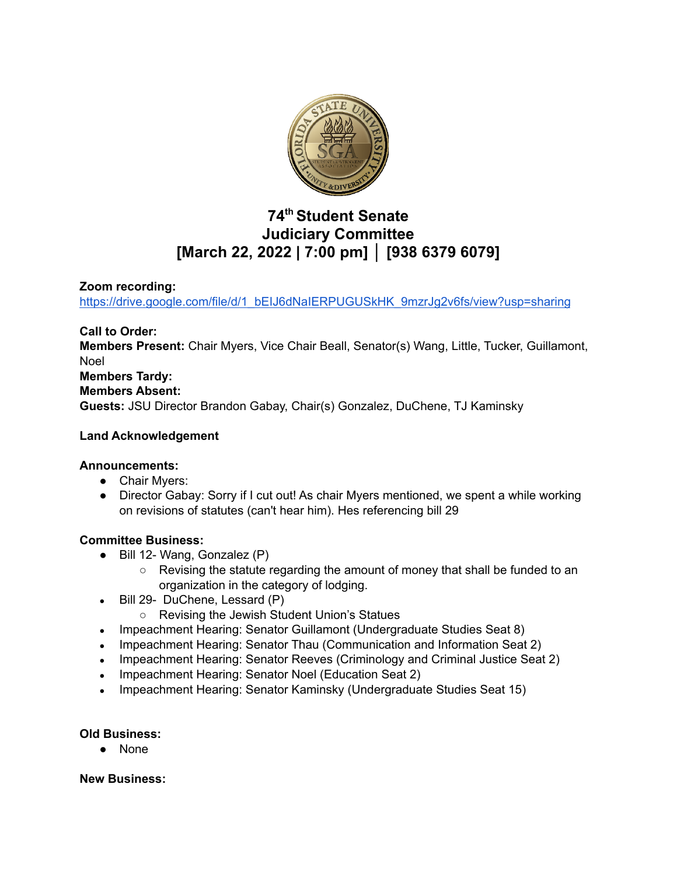

# **74 th Student Senate Judiciary Committee [March 22, 2022 | 7:00 pm] │ [938 6379 6079]**

## **Zoom recording:**

[https://drive.google.com/file/d/1\\_bEIJ6dNaIERPUGUSkHK\\_9mzrJg2v6fs/view?usp=sharing](https://drive.google.com/file/d/1_bEIJ6dNaIERPUGUSkHK_9mzrJg2v6fs/view?usp=sharing)

**Call to Order: Members Present:** Chair Myers, Vice Chair Beall, Senator(s) Wang, Little, Tucker, Guillamont, Noel **Members Tardy: Members Absent: Guests:** JSU Director Brandon Gabay, Chair(s) Gonzalez, DuChene, TJ Kaminsky

#### **Land Acknowledgement**

#### **Announcements:**

- Chair Myers:
- Director Gabay: Sorry if I cut out! As chair Myers mentioned, we spent a while working on revisions of statutes (can't hear him). Hes referencing bill 29

## **Committee Business:**

- Bill 12- Wang, Gonzalez (P)
	- Revising the statute regarding the amount of money that shall be funded to an organization in the category of lodging.
- $\bullet$  Bill 29- DuChene, Lessard (P)
	- Revising the Jewish Student Union's Statues
- Impeachment Hearing: Senator Guillamont (Undergraduate Studies Seat 8)
- Impeachment Hearing: Senator Thau (Communication and Information Seat 2)
- Impeachment Hearing: Senator Reeves (Criminology and Criminal Justice Seat 2)
- Impeachment Hearing: Senator Noel (Education Seat 2)
- Impeachment Hearing: Senator Kaminsky (Undergraduate Studies Seat 15)

## **Old Business:**

● None

**New Business:**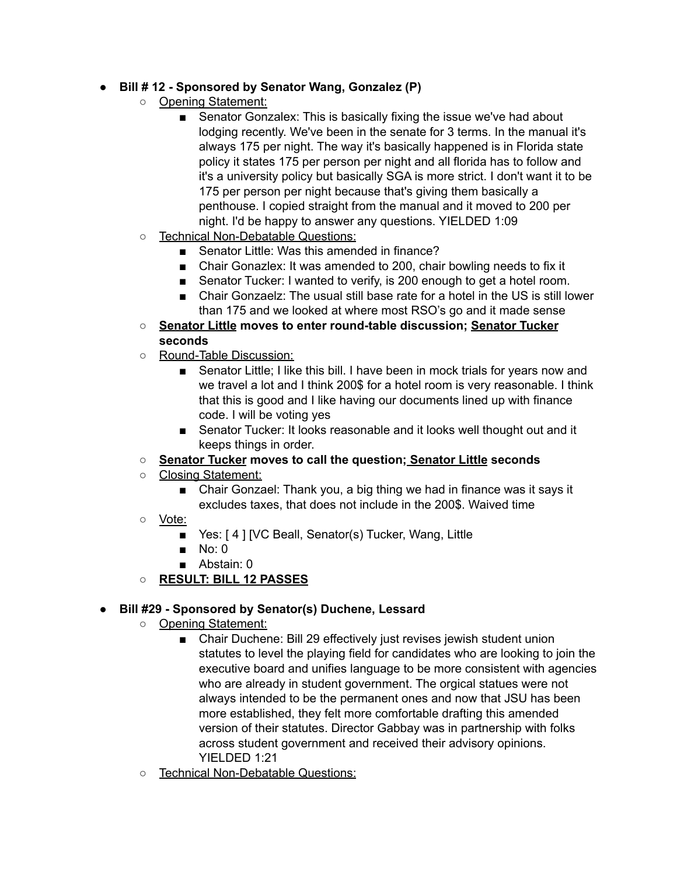## **● Bill # 12 - Sponsored by Senator Wang, Gonzalez (P)**

- Opening Statement:
	- Senator Gonzalex: This is basically fixing the issue we've had about lodging recently. We've been in the senate for 3 terms. In the manual it's always 175 per night. The way it's basically happened is in Florida state policy it states 175 per person per night and all florida has to follow and it's a university policy but basically SGA is more strict. I don't want it to be 175 per person per night because that's giving them basically a penthouse. I copied straight from the manual and it moved to 200 per night. I'd be happy to answer any questions. YIELDED 1:09
- Technical Non-Debatable Questions:
	- Senator Little: Was this amended in finance?
	- Chair Gonazlex: It was amended to 200, chair bowling needs to fix it
	- Senator Tucker: I wanted to verify, is 200 enough to get a hotel room.
	- Chair Gonzaelz: The usual still base rate for a hotel in the US is still lower than 175 and we looked at where most RSO's go and it made sense
- **○ Senator Little moves to enter round-table discussion; Senator Tucker seconds**
- Round-Table Discussion:
	- Senator Little; I like this bill. I have been in mock trials for years now and we travel a lot and I think 200\$ for a hotel room is very reasonable. I think that this is good and I like having our documents lined up with finance code. I will be voting yes
	- Senator Tucker: It looks reasonable and it looks well thought out and it keeps things in order.
- **○ Senator Tucker moves to call the question; Senator Little seconds**
- Closing Statement:
	- Chair Gonzael: Thank you, a big thing we had in finance was it says it excludes taxes, that does not include in the 200\$. Waived time
- Vote:
	- Yes: [4] [VC Beall, Senator(s) Tucker, Wang, Little
	- $\blacksquare$  No: 0
	- Abstain: 0
- **○ RESULT: BILL 12 PASSES**

## **● Bill #29 - Sponsored by Senator(s) Duchene, Lessard**

- **○** Opening Statement:
	- Chair Duchene: Bill 29 effectively just revises jewish student union statutes to level the playing field for candidates who are looking to join the executive board and unifies language to be more consistent with agencies who are already in student government. The orgical statues were not always intended to be the permanent ones and now that JSU has been more established, they felt more comfortable drafting this amended version of their statutes. Director Gabbay was in partnership with folks across student government and received their advisory opinions. YIELDED 1:21
- Technical Non-Debatable Questions: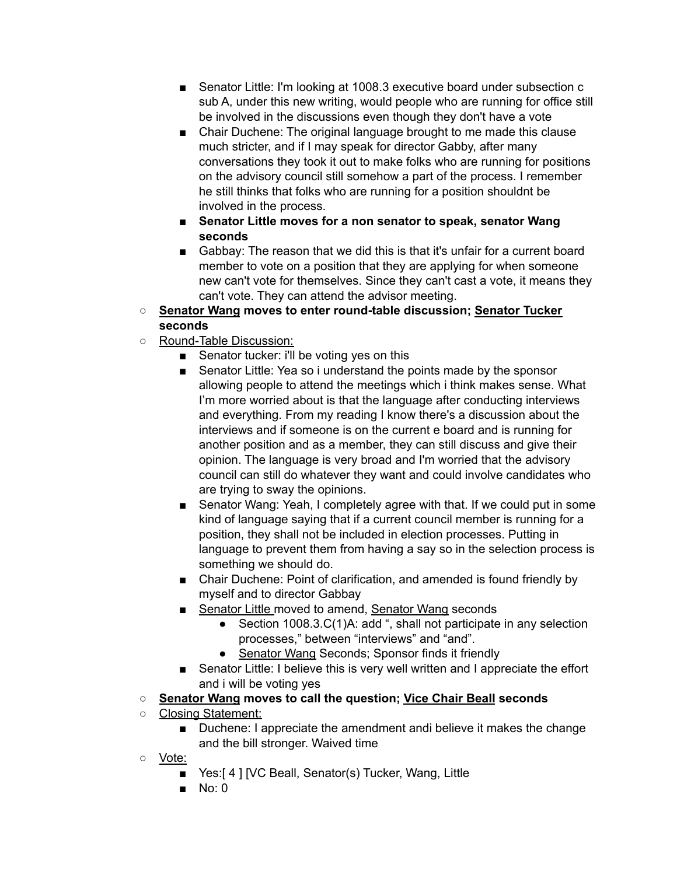- Senator Little: I'm looking at 1008.3 executive board under subsection c sub A, under this new writing, would people who are running for office still be involved in the discussions even though they don't have a vote
- Chair Duchene: The original language brought to me made this clause much stricter, and if I may speak for director Gabby, after many conversations they took it out to make folks who are running for positions on the advisory council still somehow a part of the process. I remember he still thinks that folks who are running for a position shouldnt be involved in the process.
- **■ Senator Little moves for a non senator to speak, senator Wang seconds**
- Gabbay: The reason that we did this is that it's unfair for a current board member to vote on a position that they are applying for when someone new can't vote for themselves. Since they can't cast a vote, it means they can't vote. They can attend the advisor meeting.
- **○ Senator Wang moves to enter round-table discussion; Senator Tucker seconds**
- Round-Table Discussion:
	- Senator tucker: i'll be voting yes on this
	- Senator Little: Yea so i understand the points made by the sponsor allowing people to attend the meetings which i think makes sense. What I'm more worried about is that the language after conducting interviews and everything. From my reading I know there's a discussion about the interviews and if someone is on the current e board and is running for another position and as a member, they can still discuss and give their opinion. The language is very broad and I'm worried that the advisory council can still do whatever they want and could involve candidates who are trying to sway the opinions.
	- Senator Wang: Yeah, I completely agree with that. If we could put in some kind of language saying that if a current council member is running for a position, they shall not be included in election processes. Putting in language to prevent them from having a say so in the selection process is something we should do.
	- Chair Duchene: Point of clarification, and amended is found friendly by myself and to director Gabbay
	- Senator Little moved to amend, Senator Wang seconds
		- Section 1008.3.C(1)A: add ", shall not participate in any selection processes," between "interviews" and "and".
		- Senator Wang Seconds; Sponsor finds it friendly
	- Senator Little: I believe this is very well written and I appreciate the effort and i will be voting yes
- **○ Senator Wang moves to call the question; Vice Chair Beall seconds**
- Closing Statement:
	- Duchene: I appreciate the amendment andi believe it makes the change and the bill stronger. Waived time
- Vote:
	- Yes:[4] [VC Beall, Senator(s) Tucker, Wang, Little
	- No: 0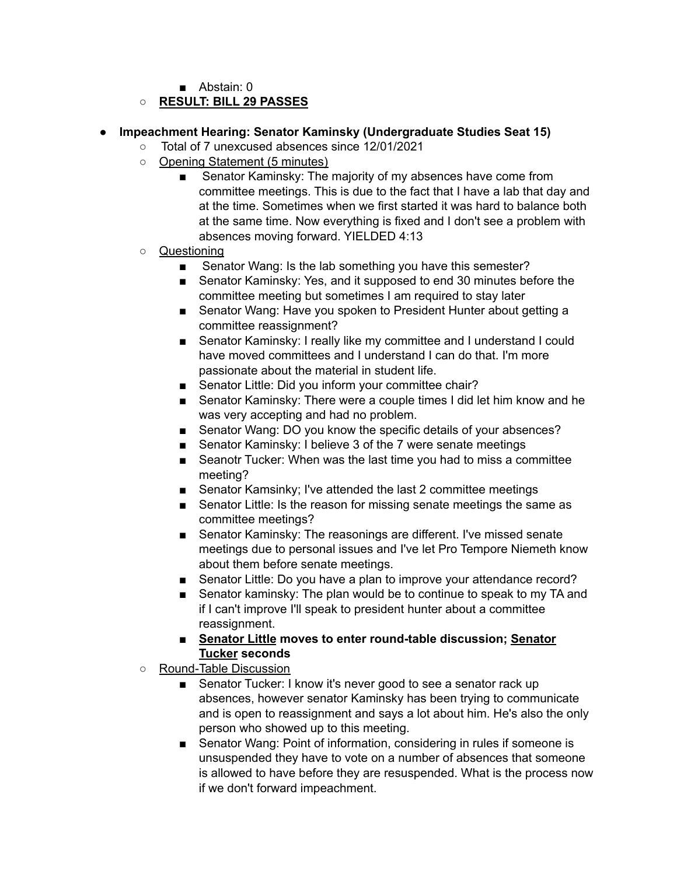■ Abstain: 0

## **○ RESULT: BILL 29 PASSES**

#### **● Impeachment Hearing: Senator Kaminsky (Undergraduate Studies Seat 15)**

- **○** Total of 7 unexcused absences since 12/01/2021
- Opening Statement (5 minutes)
	- Senator Kaminsky: The majority of my absences have come from committee meetings. This is due to the fact that I have a lab that day and at the time. Sometimes when we first started it was hard to balance both at the same time. Now everything is fixed and I don't see a problem with absences moving forward. YIELDED 4:13
- Questioning
	- Senator Wang: Is the lab something you have this semester?
	- Senator Kaminsky: Yes, and it supposed to end 30 minutes before the committee meeting but sometimes I am required to stay later
	- Senator Wang: Have you spoken to President Hunter about getting a committee reassignment?
	- Senator Kaminsky: I really like my committee and I understand I could have moved committees and I understand I can do that. I'm more passionate about the material in student life.
	- Senator Little: Did you inform your committee chair?
	- Senator Kaminsky: There were a couple times I did let him know and he was very accepting and had no problem.
	- Senator Wang: DO you know the specific details of your absences?
	- Senator Kaminsky: I believe 3 of the 7 were senate meetings
	- Seanotr Tucker: When was the last time you had to miss a committee meeting?
	- Senator Kamsinky; I've attended the last 2 committee meetings
	- Senator Little: Is the reason for missing senate meetings the same as committee meetings?
	- Senator Kaminsky: The reasonings are different. I've missed senate meetings due to personal issues and I've let Pro Tempore Niemeth know about them before senate meetings.
	- Senator Little: Do you have a plan to improve your attendance record?
	- Senator kaminsky: The plan would be to continue to speak to my TA and if I can't improve I'll speak to president hunter about a committee reassignment.
	- **■ Senator Little moves to enter round-table discussion; Senator Tucker seconds**
- Round-Table Discussion
	- Senator Tucker: I know it's never good to see a senator rack up absences, however senator Kaminsky has been trying to communicate and is open to reassignment and says a lot about him. He's also the only person who showed up to this meeting.
	- Senator Wang: Point of information, considering in rules if someone is unsuspended they have to vote on a number of absences that someone is allowed to have before they are resuspended. What is the process now if we don't forward impeachment.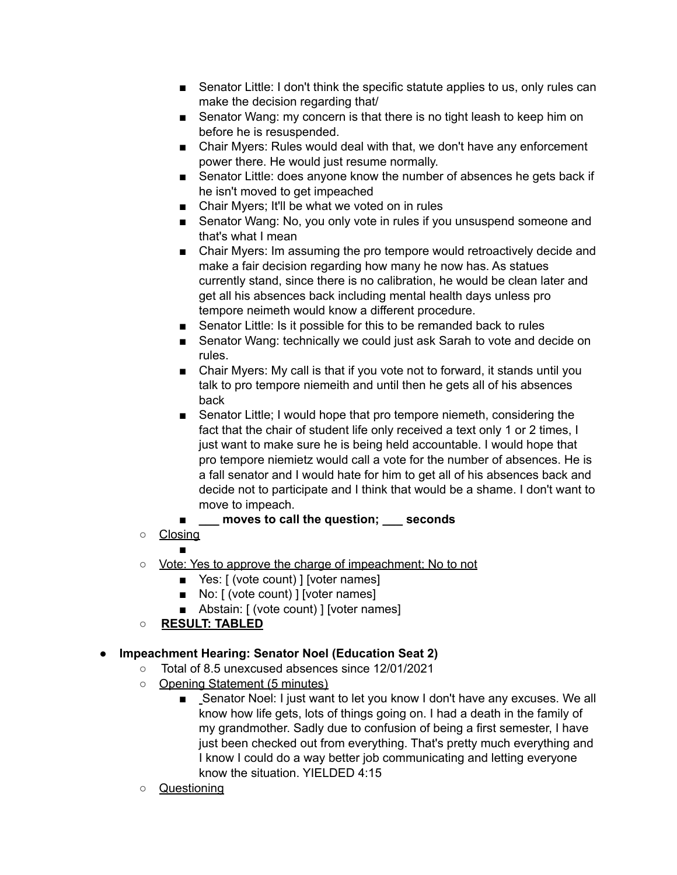- Senator Little: I don't think the specific statute applies to us, only rules can make the decision regarding that/
- Senator Wang: my concern is that there is no tight leash to keep him on before he is resuspended.
- Chair Myers: Rules would deal with that, we don't have any enforcement power there. He would just resume normally.
- Senator Little: does anyone know the number of absences he gets back if he isn't moved to get impeached
- Chair Myers; It'll be what we voted on in rules
- Senator Wang: No, you only vote in rules if you unsuspend someone and that's what I mean
- Chair Myers: Im assuming the pro tempore would retroactively decide and make a fair decision regarding how many he now has. As statues currently stand, since there is no calibration, he would be clean later and get all his absences back including mental health days unless pro tempore neimeth would know a different procedure.
- Senator Little: Is it possible for this to be remanded back to rules
- Senator Wang: technically we could just ask Sarah to vote and decide on rules.
- Chair Myers: My call is that if you vote not to forward, it stands until you talk to pro tempore niemeith and until then he gets all of his absences back
- Senator Little; I would hope that pro tempore niemeth, considering the fact that the chair of student life only received a text only 1 or 2 times, I just want to make sure he is being held accountable. I would hope that pro tempore niemietz would call a vote for the number of absences. He is a fall senator and I would hate for him to get all of his absences back and decide not to participate and I think that would be a shame. I don't want to move to impeach.
- **\_\_\_ moves to call the question; \_\_\_ seconds**
- Closing
	- ■
- o Vote: Yes to approve the charge of impeachment; No to not
	- Yes: [ (vote count) ] [voter names]
	- No: [ (vote count) ] [voter names]
	- Abstain: [ (vote count) ] [voter names]
- **RESULT: TABLED**

## **● Impeachment Hearing: Senator Noel (Education Seat 2)**

- **○** Total of 8.5 unexcused absences since 12/01/2021
- Opening Statement (5 minutes)
	- Senator Noel: I just want to let you know I don't have any excuses. We all know how life gets, lots of things going on. I had a death in the family of my grandmother. Sadly due to confusion of being a first semester, I have just been checked out from everything. That's pretty much everything and I know I could do a way better job communicating and letting everyone know the situation. YIELDED 4:15
- Questioning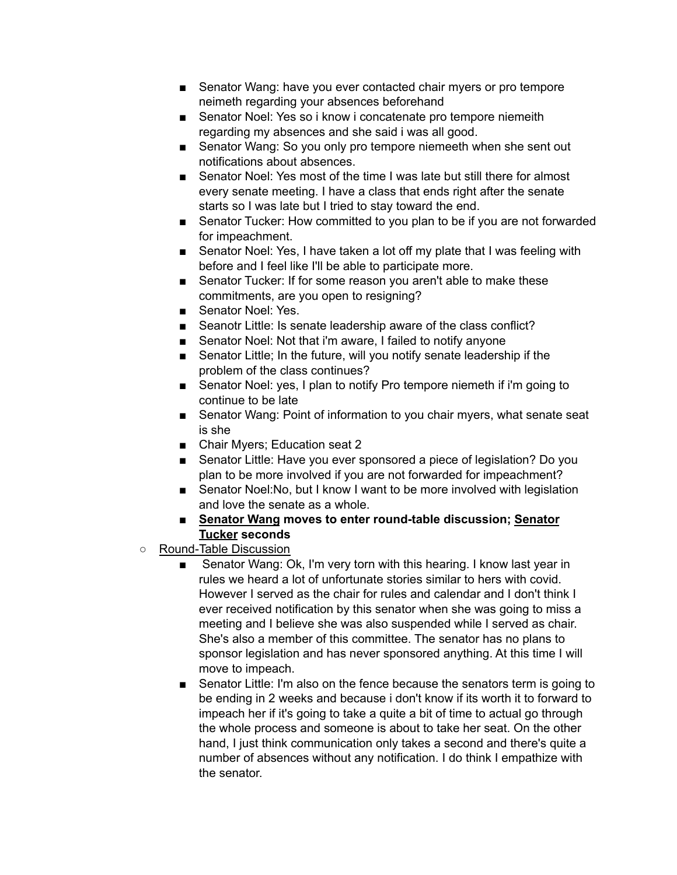- Senator Wang: have you ever contacted chair myers or pro tempore neimeth regarding your absences beforehand
- Senator Noel: Yes so i know i concatenate pro tempore niemeith regarding my absences and she said i was all good.
- Senator Wang: So you only pro tempore niemeeth when she sent out notifications about absences.
- Senator Noel: Yes most of the time I was late but still there for almost every senate meeting. I have a class that ends right after the senate starts so I was late but I tried to stay toward the end.
- Senator Tucker: How committed to you plan to be if you are not forwarded for impeachment.
- Senator Noel: Yes, I have taken a lot off my plate that I was feeling with before and I feel like I'll be able to participate more.
- Senator Tucker: If for some reason you aren't able to make these commitments, are you open to resigning?
- Senator Noel: Yes.
- Seanotr Little: Is senate leadership aware of the class conflict?
- Senator Noel: Not that i'm aware, I failed to notify anyone
- Senator Little; In the future, will you notify senate leadership if the problem of the class continues?
- Senator Noel: yes, I plan to notify Pro tempore niemeth if i'm going to continue to be late
- Senator Wang: Point of information to you chair myers, what senate seat is she
- Chair Myers; Education seat 2
- Senator Little: Have you ever sponsored a piece of legislation? Do you plan to be more involved if you are not forwarded for impeachment?
- Senator Noel: No, but I know I want to be more involved with legislation and love the senate as a whole.
- **■ Senator Wang moves to enter round-table discussion; Senator Tucker seconds**
- Round-Table Discussion
	- Senator Wang: Ok, I'm very torn with this hearing. I know last year in rules we heard a lot of unfortunate stories similar to hers with covid. However I served as the chair for rules and calendar and I don't think I ever received notification by this senator when she was going to miss a meeting and I believe she was also suspended while I served as chair. She's also a member of this committee. The senator has no plans to sponsor legislation and has never sponsored anything. At this time I will move to impeach.
	- Senator Little: I'm also on the fence because the senators term is going to be ending in 2 weeks and because i don't know if its worth it to forward to impeach her if it's going to take a quite a bit of time to actual go through the whole process and someone is about to take her seat. On the other hand, I just think communication only takes a second and there's quite a number of absences without any notification. I do think I empathize with the senator.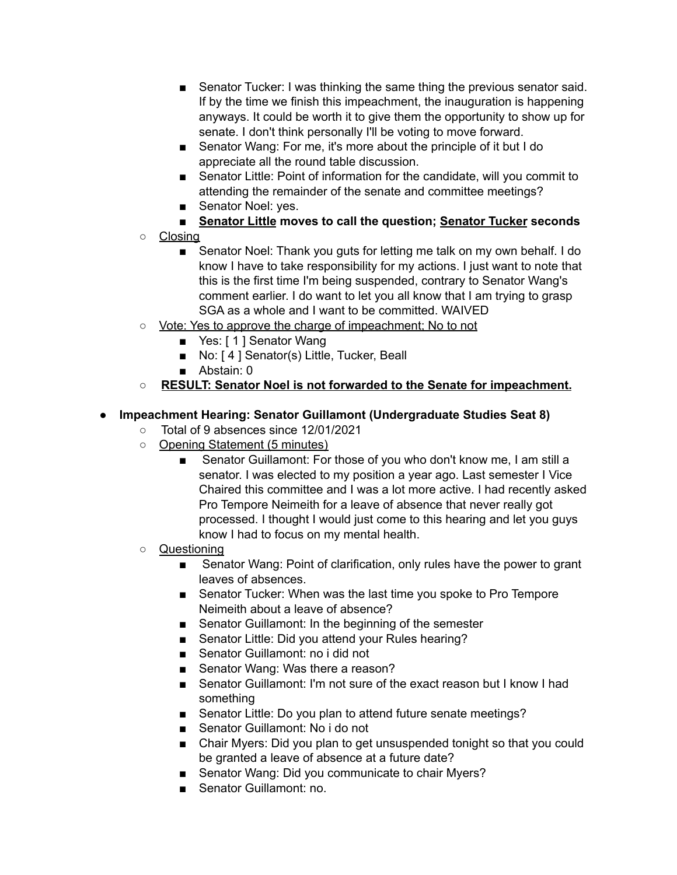- Senator Tucker: I was thinking the same thing the previous senator said. If by the time we finish this impeachment, the inauguration is happening anyways. It could be worth it to give them the opportunity to show up for senate. I don't think personally I'll be voting to move forward.
- Senator Wang: For me, it's more about the principle of it but I do appreciate all the round table discussion.
- Senator Little: Point of information for the candidate, will you commit to attending the remainder of the senate and committee meetings?
- Senator Noel: yes.
- **Senator Little moves to call the question; Senator Tucker seconds**
- Closing
	- Senator Noel: Thank you guts for letting me talk on my own behalf. I do know I have to take responsibility for my actions. I just want to note that this is the first time I'm being suspended, contrary to Senator Wang's comment earlier. I do want to let you all know that I am trying to grasp SGA as a whole and I want to be committed. WAIVED
- Vote: Yes to approve the charge of impeachment; No to not
	- Yes: [1] Senator Wang
	- No: [4] Senator(s) Little, Tucker, Beall
	- Abstain: 0
- **RESULT: Senator Noel is not forwarded to the Senate for impeachment.**

## **● Impeachment Hearing: Senator Guillamont (Undergraduate Studies Seat 8)**

- **○** Total of 9 absences since 12/01/2021
- Opening Statement (5 minutes)
	- Senator Guillamont: For those of you who don't know me, I am still a senator. I was elected to my position a year ago. Last semester I Vice Chaired this committee and I was a lot more active. I had recently asked Pro Tempore Neimeith for a leave of absence that never really got processed. I thought I would just come to this hearing and let you guys know I had to focus on my mental health.

## ○ Questioning

- Senator Wang: Point of clarification, only rules have the power to grant leaves of absences.
- Senator Tucker: When was the last time you spoke to Pro Tempore Neimeith about a leave of absence?
- Senator Guillamont: In the beginning of the semester
- Senator Little: Did you attend your Rules hearing?
- Senator Guillamont: no i did not
- Senator Wang: Was there a reason?
- Senator Guillamont: I'm not sure of the exact reason but I know I had something
- Senator Little: Do you plan to attend future senate meetings?
- Senator Guillamont: No i do not
- Chair Myers: Did you plan to get unsuspended tonight so that you could be granted a leave of absence at a future date?
- Senator Wang: Did you communicate to chair Myers?
- Senator Guillamont: no.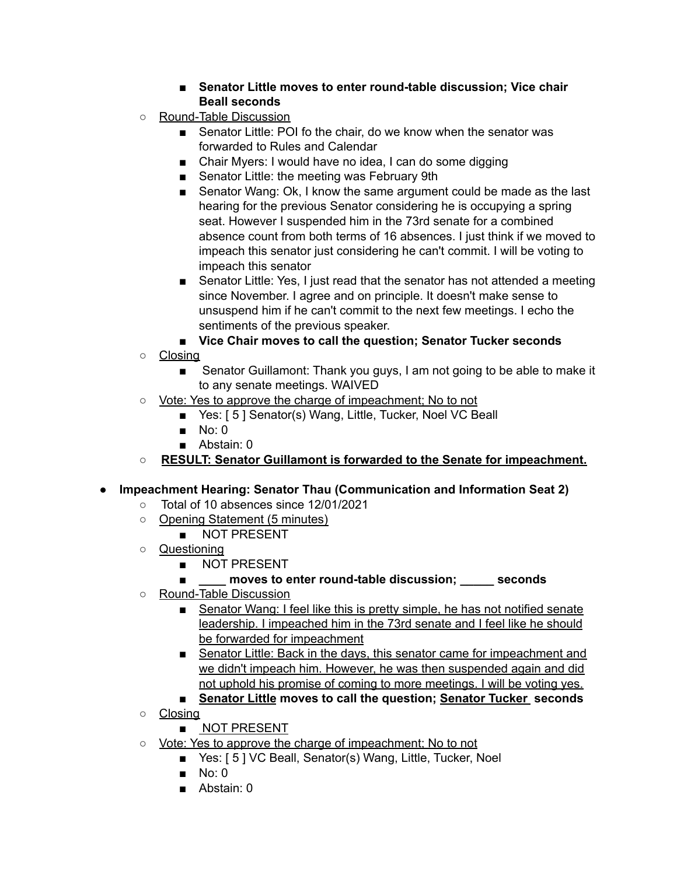## **■ Senator Little moves to enter round-table discussion; Vice chair Beall seconds**

- Round-Table Discussion
	- Senator Little: POI fo the chair, do we know when the senator was forwarded to Rules and Calendar
	- Chair Myers: I would have no idea, I can do some digging
	- Senator Little: the meeting was February 9th
	- Senator Wang: Ok, I know the same argument could be made as the last hearing for the previous Senator considering he is occupying a spring seat. However I suspended him in the 73rd senate for a combined absence count from both terms of 16 absences. I just think if we moved to impeach this senator just considering he can't commit. I will be voting to impeach this senator
	- Senator Little: Yes, I just read that the senator has not attended a meeting since November. I agree and on principle. It doesn't make sense to unsuspend him if he can't commit to the next few meetings. I echo the sentiments of the previous speaker.
	- **Vice Chair moves to call the question; Senator Tucker seconds**
- Closing
	- Senator Guillamont: Thank you guys, I am not going to be able to make it to any senate meetings. WAIVED
- Vote: Yes to approve the charge of impeachment; No to not
	- Yes: [ 5 ] Senator(s) Wang, Little, Tucker, Noel VC Beall
	- No: 0
	- Abstain: 0
- **RESULT: Senator Guillamont is forwarded to the Senate for impeachment.**
- **● Impeachment Hearing: Senator Thau (Communication and Information Seat 2)**
	- **○** Total of 10 absences since 12/01/2021
	- Opening Statement (5 minutes)
		- NOT PRESENT
	- Questioning
		- NOT PRESENT

## **■ \_\_\_\_ moves to enter round-table discussion; \_\_\_\_\_ seconds**

- Round-Table Discussion
	- Senator Wang: I feel like this is pretty simple, he has not notified senate leadership. I impeached him in the 73rd senate and I feel like he should be forwarded for impeachment
	- Senator Little: Back in the days, this senator came for impeachment and we didn't impeach him. However, he was then suspended again and did not uphold his promise of coming to more meetings. I will be voting yes.
	- **Senator Little moves to call the question; Senator Tucker seconds**
- Closing
	- NOT PRESENT
- Vote: Yes to approve the charge of impeachment; No to not
	- Yes: [5] VC Beall, Senator(s) Wang, Little, Tucker, Noel
	- No: 0
	- Abstain: 0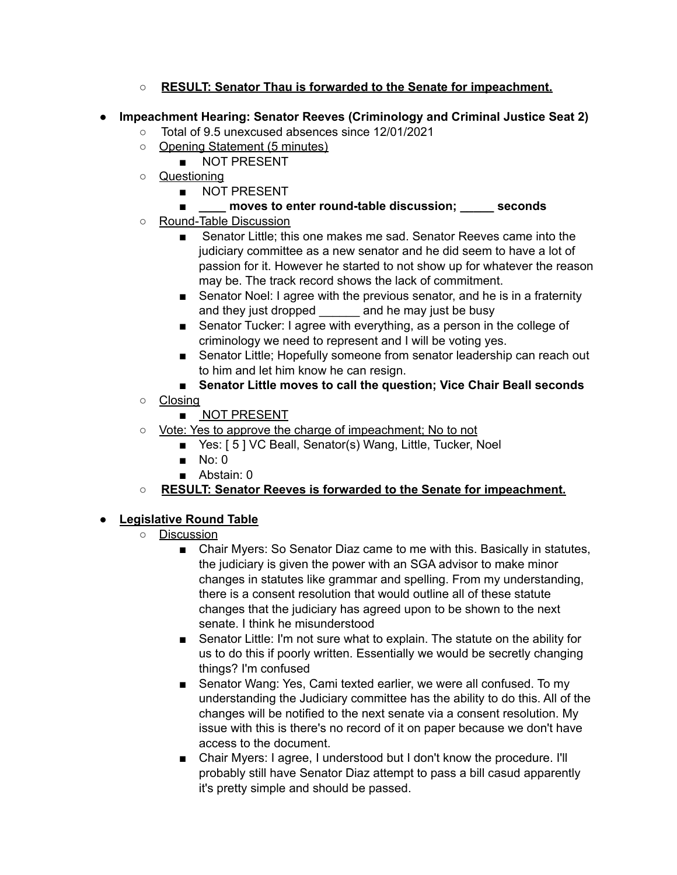- **RESULT: Senator Thau is forwarded to the Senate for impeachment.**
- **● Impeachment Hearing: Senator Reeves (Criminology and Criminal Justice Seat 2)**
	- **○** Total of 9.5 unexcused absences since 12/01/2021
	- Opening Statement (5 minutes)
		- NOT PRESENT
	- Questioning
		- NOT PRESENT
		- **■ \_\_\_\_ moves to enter round-table discussion; \_\_\_\_\_ seconds**
	- Round-Table Discussion
		- Senator Little: this one makes me sad. Senator Reeves came into the judiciary committee as a new senator and he did seem to have a lot of passion for it. However he started to not show up for whatever the reason may be. The track record shows the lack of commitment.
		- Senator Noel: I agree with the previous senator, and he is in a fraternity and they just dropped and he may just be busy
		- Senator Tucker: I agree with everything, as a person in the college of criminology we need to represent and I will be voting yes.
		- Senator Little; Hopefully someone from senator leadership can reach out to him and let him know he can resign.
		- **Senator Little moves to call the question; Vice Chair Beall seconds**
	- Closing
		- NOT PRESENT
	- <u>Vote: Yes to approve the charge of impeachment; No to not</u>
		- Yes: [5] VC Beall, Senator(s) Wang, Little, Tucker, Noel
		- No: 0
		- Abstain: 0
	- **RESULT: Senator Reeves is forwarded to the Senate for impeachment.**

# **● Legislative Round Table**

- Discussion
	- Chair Myers: So Senator Diaz came to me with this. Basically in statutes, the judiciary is given the power with an SGA advisor to make minor changes in statutes like grammar and spelling. From my understanding, there is a consent resolution that would outline all of these statute changes that the judiciary has agreed upon to be shown to the next senate. I think he misunderstood
	- Senator Little: I'm not sure what to explain. The statute on the ability for us to do this if poorly written. Essentially we would be secretly changing things? I'm confused
	- Senator Wang: Yes, Cami texted earlier, we were all confused. To my understanding the Judiciary committee has the ability to do this. All of the changes will be notified to the next senate via a consent resolution. My issue with this is there's no record of it on paper because we don't have access to the document.
	- Chair Myers: I agree, I understood but I don't know the procedure. I'll probably still have Senator Diaz attempt to pass a bill casud apparently it's pretty simple and should be passed.